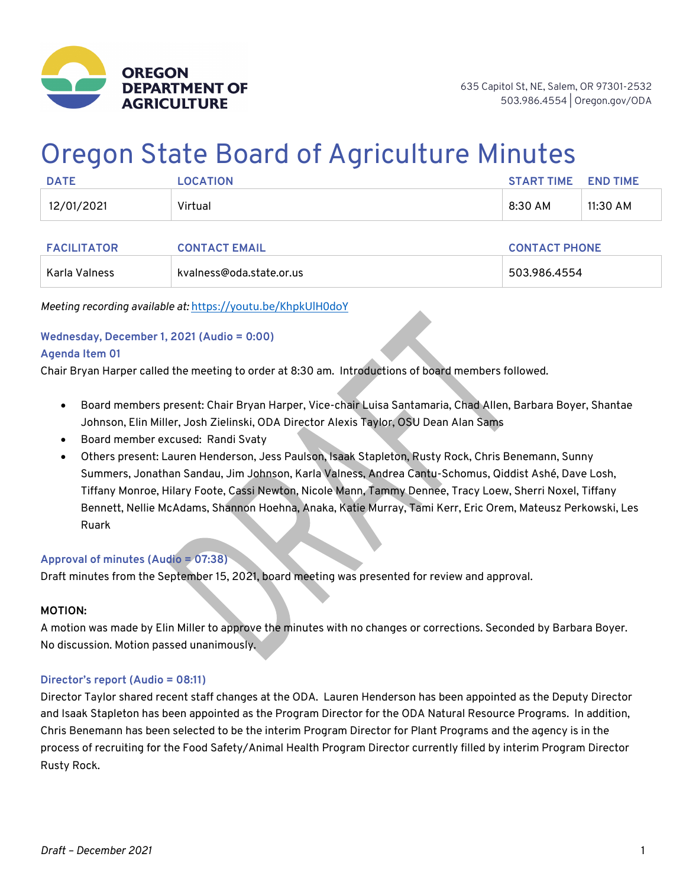

# Oregon State Board of Agriculture Minutes

| <b>DATE</b> | <b>OCATION</b> | <b>START TIME</b> | <b>END TIME</b> |
|-------------|----------------|-------------------|-----------------|
| 12/01/2021  | Virtual        | 8:30 AM           | 11:30 AM        |

| <b>FACILITATOR</b> | <b>CONTACT EMAIL</b>     | <b>CONTACT PHONE</b> |
|--------------------|--------------------------|----------------------|
| Karla Valness      | kvalness@oda.state.or.us | 503.986.4554         |

*Meeting recording available at:* https://youtu.be/KhpkUlH0doY

## **Wednesday, December 1, 2021 (Audio = 0:00)**

#### **Agenda Item 01**

Chair Bryan Harper called the meeting to order at 8:30 am. Introductions of board members followed.

- Board members present: Chair Bryan Harper, Vice-chair Luisa Santamaria, Chad Allen, Barbara Boyer, Shantae Johnson, Elin Miller, Josh Zielinski, ODA Director Alexis Taylor, OSU Dean Alan Sams
- Board member excused: Randi Svaty
- Others present: Lauren Henderson, Jess Paulson, Isaak Stapleton, Rusty Rock, Chris Benemann, Sunny Summers, Jonathan Sandau, Jim Johnson, Karla Valness, Andrea Cantu-Schomus, Qiddist Ashé, Dave Losh, Tiffany Monroe, Hilary Foote, Cassi Newton, Nicole Mann, Tammy Dennee, Tracy Loew, Sherri Noxel, Tiffany Bennett, Nellie McAdams, Shannon Hoehna, Anaka, Katie Murray, Tami Kerr, Eric Orem, Mateusz Perkowski, Les Ruark

#### **Approval of minutes (Audio = 07:38)**

Draft minutes from the September 15, 2021, board meeting was presented for review and approval.

#### **MOTION:**

A motion was made by Elin Miller to approve the minutes with no changes or corrections. Seconded by Barbara Boyer. No discussion. Motion passed unanimously.

#### **Director's report (Audio = 08:11)**

Director Taylor shared recent staff changes at the ODA. Lauren Henderson has been appointed as the Deputy Director and Isaak Stapleton has been appointed as the Program Director for the ODA Natural Resource Programs. In addition, Chris Benemann has been selected to be the interim Program Director for Plant Programs and the agency is in the process of recruiting for the Food Safety/Animal Health Program Director currently filled by interim Program Director Rusty Rock.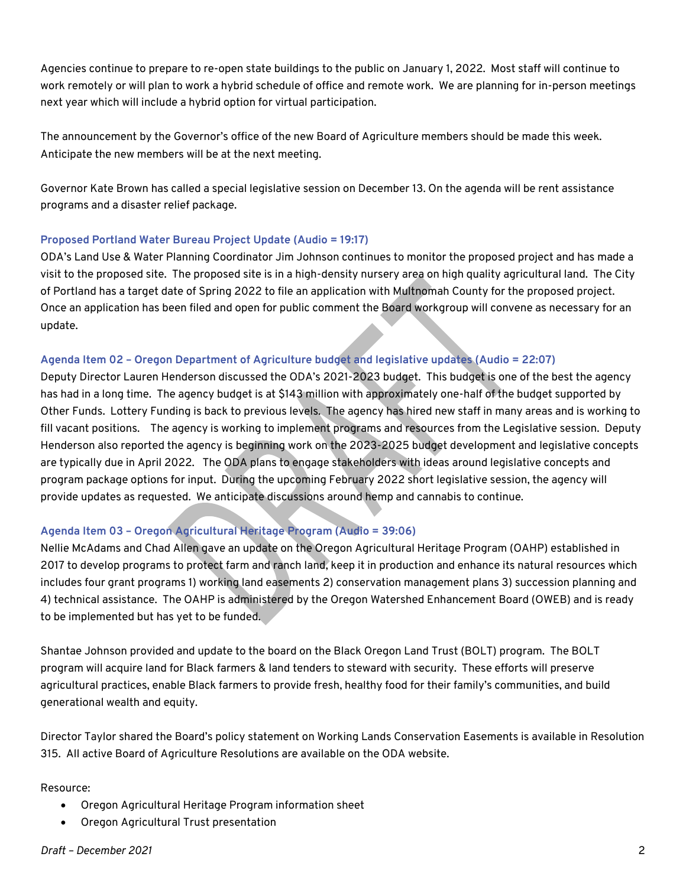Agencies continue to prepare to re-open state buildings to the public on January 1, 2022. Most staff will continue to work remotely or will plan to work a hybrid schedule of office and remote work. We are planning for in-person meetings next year which will include a hybrid option for virtual participation.

The announcement by the Governor's office of the new Board of Agriculture members should be made this week. Anticipate the new members will be at the next meeting.

Governor Kate Brown has called a special legislative session on December 13. On the agenda will be rent assistance programs and a disaster relief package.

#### **Proposed Portland Water Bureau Project Update (Audio = 19:17)**

ODA's Land Use & Water Planning Coordinator Jim Johnson continues to monitor the proposed project and has made a visit to the proposed site. The proposed site is in a high-density nursery area on high quality agricultural land. The City of Portland has a target date of Spring 2022 to file an application with Multnomah County for the proposed project. Once an application has been filed and open for public comment the Board workgroup will convene as necessary for an update.

#### **Agenda Item 02 – Oregon Department of Agriculture budget and legislative updates (Audio = 22:07)**

Deputy Director Lauren Henderson discussed the ODA's 2021-2023 budget. This budget is one of the best the agency has had in a long time. The agency budget is at \$143 million with approximately one-half of the budget supported by Other Funds. Lottery Funding is back to previous levels. The agency has hired new staff in many areas and is working to fill vacant positions. The agency is working to implement programs and resources from the Legislative session. Deputy Henderson also reported the agency is beginning work on the 2023-2025 budget development and legislative concepts are typically due in April 2022. The ODA plans to engage stakeholders with ideas around legislative concepts and program package options for input. During the upcoming February 2022 short legislative session, the agency will provide updates as requested. We anticipate discussions around hemp and cannabis to continue.

#### **Agenda Item 03 – Oregon Agricultural Heritage Program (Audio = 39:06)**

Nellie McAdams and Chad Allen gave an update on the Oregon Agricultural Heritage Program (OAHP) established in 2017 to develop programs to protect farm and ranch land, keep it in production and enhance its natural resources which includes four grant programs 1) working land easements 2) conservation management plans 3) succession planning and 4) technical assistance. The OAHP is administered by the Oregon Watershed Enhancement Board (OWEB) and is ready to be implemented but has yet to be funded.

Shantae Johnson provided and update to the board on the Black Oregon Land Trust (BOLT) program. The BOLT program will acquire land for Black farmers & land tenders to steward with security. These efforts will preserve agricultural practices, enable Black farmers to provide fresh, healthy food for their family's communities, and build generational wealth and equity.

Director Taylor shared the Board's policy statement on Working Lands Conservation Easements is available in Resolution 315. All active Board of Agriculture Resolutions are available on the ODA website.

Resource:

- Oregon Agricultural Heritage Program information sheet
- Oregon Agricultural Trust presentation